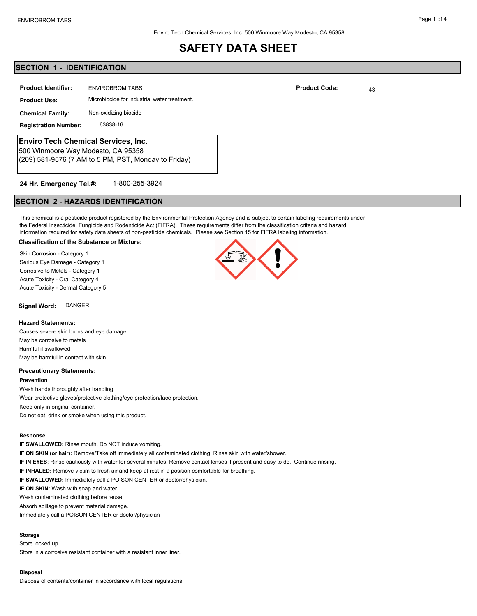#### Enviro Tech Chemical Services, Inc. 500 Winmoore Way Modesto, CA 95358

## **SAFETY DATA SHEET**

## **SECTION 1 - IDENTIFICATION**

| <b>Product Identifier:</b>                                                | <b>ENVIROBROM TABS</b>                       | <b>Product Code:</b> | 43 |
|---------------------------------------------------------------------------|----------------------------------------------|----------------------|----|
| <b>Product Use:</b>                                                       | Microbiocide for industrial water treatment. |                      |    |
| <b>Chemical Family:</b>                                                   | Non-oxidizing biocide                        |                      |    |
| <b>Registration Number:</b>                                               | 63838-16                                     |                      |    |
| Enviro Tech Chemical Services, Inc.<br>500 Winmoore Way Modesto, CA 95358 |                                              |                      |    |
| (209) 581-9576 (7 AM to 5 PM, PST, Monday to Friday)                      |                                              |                      |    |

#### 1-800-255-3924 **24 Hr. Emergency Tel.#:**

## **SECTION 2 - HAZARDS IDENTIFICATION**

This chemical is a pesticide product registered by the Environmental Protection Agency and is subject to certain labeling requirements under the Federal Insecticide, Fungicide and Rodenticide Act (FIFRA), These requirements differ from the classification criteria and hazard information required for safety data sheets of non-pesticide chemicals. Please see Section 15 for FIFRA labeling information.

#### **Classification of the Substance or Mixture:**

Skin Corrosion - Category 1 Serious Eye Damage - Category 1 Corrosive to Metals - Category 1 Acute Toxicity - Oral Category 4 Acute Toxicity - Dermal Category 5

**Signal Word:** DANGER

#### **Hazard Statements:**

Causes severe skin burns and eye damage May be corrosive to metals Harmful if swallowed May be harmful in contact with skin

#### **Precautionary Statements:**

**Prevention** Wash hands thoroughly after handling Wear protective gloves/protective clothing/eye protection/face protection. Keep only in original container. Do not eat, drink or smoke when using this product.

#### **Response**

**IF SWALLOWED:** Rinse mouth. Do NOT induce vomiting. **IF ON SKIN (or hair):** Remove/Take off immediately all contaminated clothing. Rinse skin with water/shower. **IF IN EYES**: Rinse cautiously with water for several minutes. Remove contact lenses if present and easy to do. Continue rinsing. **IF INHALED:** Remove victim to fresh air and keep at rest in a position comfortable for breathing. **IF SWALLOWED:** Immediately call a POISON CENTER or doctor/physician. **IF ON SKIN:** Wash with soap and water. Wash contaminated clothing before reuse. Absorb spillage to prevent material damage. Immediately call a POISON CENTER or doctor/physician

#### **Storage**

Store locked up. Store in a corrosive resistant container with a resistant inner liner.

#### **Disposal**

Dispose of contents/container in accordance with local regulations.

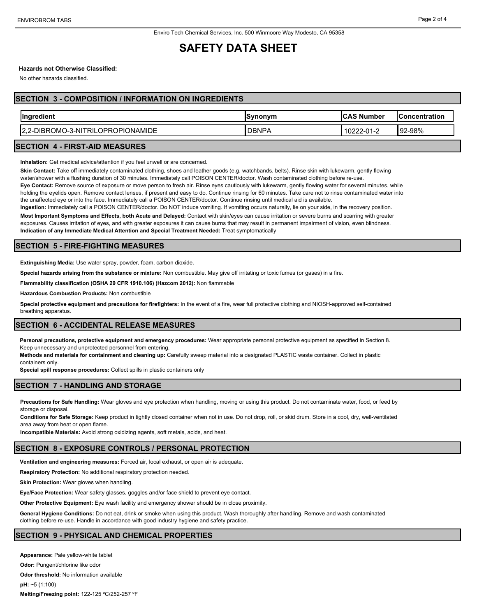## **SAFETY DATA SHEET**

### **Hazards not Otherwise Classified:**

No other hazards classified.

### **SECTION 3 - COMPOSITION / INFORMATION ON INGREDIENTS**

| $\sim$<br><b>naredient</b><br>lina                                        | Synonym                 | ، Number<br>ICAS                  | oncentration<br>oncei |
|---------------------------------------------------------------------------|-------------------------|-----------------------------------|-----------------------|
| ∴O-3-NI⊤<br>חםר∩<br>IONAMIDE<br>√P™<br>RIL<br>' ∕IBP'<br>.JM⊑<br>- -<br>◡ | <b>DBNP</b><br><u>r</u> | ົາ 1<br>$02^{\circ}$<br>222-U I-2 | $92-98%$<br>⊿פי       |

#### **SECTION 4 - FIRST-AID MEASURES**

**Inhalation:** Get medical advice/attention if you feel unwell or are concerned.

**Skin Contact:** Take off immediately contaminated clothing, shoes and leather goods (e.g. watchbands, belts). Rinse skin with lukewarm, gently flowing water/shower with a flushing duration of 30 minutes. Immediately call POISON CENTER/doctor. Wash contaminated clothing before re-use. **Eye Contact:** Remove source of exposure or move person to fresh air. Rinse eyes cautiously with lukewarm, gently flowing water for several minutes, while holding the eyelids open. Remove contact lenses, if present and easy to do. Continue rinsing for 60 minutes. Take care not to rinse contaminated water into the unaffected eye or into the face. Immediately call a POISON CENTER/doctor. Continue rinsing until medical aid is available.

**Ingestion:** Immediately call a POISON CENTER/doctor. Do NOT induce vomiting. If vomiting occurs naturally, lie on your side, in the recovery position. **Most Important Symptoms and Effects, both Acute and Delayed:** Contact with skin/eyes can cause irritation or severe burns and scarring with greater

exposures. Causes irritation of eyes, and with greater exposures it can cause burns that may result in permanent impairment of vision, even blindness. **Indication of any Immediate Medical Attention and Special Treatment Needed:** Treat symptomatically

## **SECTION 5 - FIRE-FIGHTING MEASURES**

**Extinguishing Media:** Use water spray, powder, foam, carbon dioxide.

**Special hazards arising from the substance or mixture:** Non combustible. May give off irritating or toxic fumes (or gases) in a fire.

**Flammability classification (OSHA 29 CFR 1910.106) (Hazcom 2012):** Non flammable

**Hazardous Combustion Products:** Non combustible

**Special protective equipment and precautions for firefighters:** In the event of a fire, wear full protective clothing and NIOSH-approved self-contained breathing apparatus.

## **SECTION 6 - ACCIDENTAL RELEASE MEASURES**

**Personal precautions, protective equipment and emergency procedures:** Wear appropriate personal protective equipment as specified in Section 8. Keep unnecessary and unprotected personnel from entering.

**Methods and materials for containment and cleaning up:** Carefully sweep material into a designated PLASTIC waste container. Collect in plastic containers only.

**Special spill response procedures:** Collect spills in plastic containers only

## **SECTION 7 - HANDLING AND STORAGE**

**Precautions for Safe Handling:** Wear gloves and eye protection when handling, moving or using this product. Do not contaminate water, food, or feed by storage or disposal.

**Conditions for Safe Storage:** Keep product in tightly closed container when not in use. Do not drop, roll, or skid drum. Store in a cool, dry, well-ventilated area away from heat or open flame.

**Incompatible Materials:** Avoid strong oxidizing agents, soft metals, acids, and heat.

#### **SECTION 8 - EXPOSURE CONTROLS / PERSONAL PROTECTION**

**Ventilation and engineering measures:** Forced air, local exhaust, or open air is adequate.

**Respiratory Protection:** No additional respiratory protection needed.

**Skin Protection:** Wear gloves when handling.

**Eye/Face Protection:** Wear safety glasses, goggles and/or face shield to prevent eye contact.

**Other Protective Equipment:** Eye wash facility and emergency shower should be in close proximity.

**General Hygiene Conditions:** Do not eat, drink or smoke when using this product. Wash thoroughly after handling. Remove and wash contaminated clothing before re-use. Handle in accordance with good industry hygiene and safety practice.

#### **SECTION 9 - PHYSICAL AND CHEMICAL PROPERTIES**

**Appearance:** Pale yellow-white tablet **Odor: Pungent/chlorine like odor Odor threshold:** No information available **pH:** ~5 (1:100)

**Melting/Freezing point:** 122-125 ºC/252-257 ºF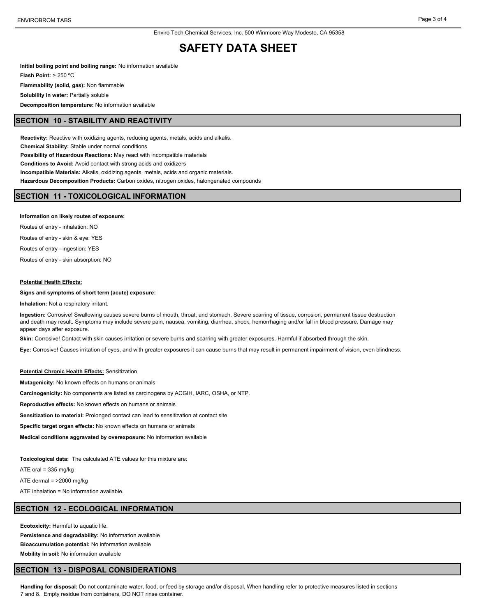## **SAFETY DATA SHEET**

**Initial boiling point and boiling range:** No information available **Flash Point:** > 250 ºC **Flammability (solid, gas):** Non flammable **Solubility in water: Partially soluble Decomposition temperature:** No information available

#### **SECTION 10 - STABILITY AND REACTIVITY**

**Reactivity:** Reactive with oxidizing agents, reducing agents, metals, acids and alkalis. **Chemical Stability:** Stable under normal conditions **Possibility of Hazardous Reactions:** May react with incompatible materials **Conditions to Avoid:** Avoid contact with strong acids and oxidizers **Incompatible Materials:** Alkalis, oxidizing agents, metals, acids and organic materials. **Hazardous Decomposition Products:** Carbon oxides, nitrogen oxides, halongenated compounds

### **SECTION 11 - TOXICOLOGICAL INFORMATION**

#### **Information on likely routes of exposure:**

Routes of entry - inhalation: NO Routes of entry - skin & eye: YES Routes of entry - ingestion: YES Routes of entry - skin absorption: NO

#### **Potential Health Effects:**

#### **Signs and symptoms of short term (acute) exposure:**

**Inhalation:** Not a respiratory irritant.

**Ingestion:** Corrosive! Swallowing causes severe burns of mouth, throat, and stomach. Severe scarring of tissue, corrosion, permanent tissue destruction and death may result. Symptoms may include severe pain, nausea, vomiting, diarrhea, shock, hemorrhaging and/or fall in blood pressure. Damage may appear days after exposure.

Skin: Corrosive! Contact with skin causes irritation or severe burns and scarring with greater exposures. Harmful if absorbed through the skin.

**Eye:** Corrosive! Causes irritation of eyes, and with greater exposures it can cause burns that may result in permanent impairment of vision, even blindness.

#### **Potential Chronic Health Effects:** Sensitization

**Mutagenicity:** No known effects on humans or animals

**Carcinogenicity:** No components are listed as carcinogens by ACGIH, IARC, OSHA, or NTP.

**Reproductive effects:** No known effects on humans or animals

**Sensitization to material:** Prolonged contact can lead to sensitization at contact site.

**Specific target organ effects:** No known effects on humans or animals

**Medical conditions aggravated by overexposure:** No information available

**Toxicological data:** The calculated ATE values for this mixture are:

ATE oral = 335 mg/kg

ATE dermal = >2000 mg/kg

ATE inhalation = No information available.

#### **SECTION 12 - ECOLOGICAL INFORMATION**

**Ecotoxicity:** Harmful to aquatic life. **Persistence and degradability:** No information available **Bioaccumulation potential:** No information available **Mobility in soil:** No information available

#### **SECTION 13 - DISPOSAL CONSIDERATIONS**

**Handling for disposal:** Do not contaminate water, food, or feed by storage and/or disposal. When handling refer to protective measures listed in sections 7 and 8. Empty residue from containers, DO NOT rinse container.